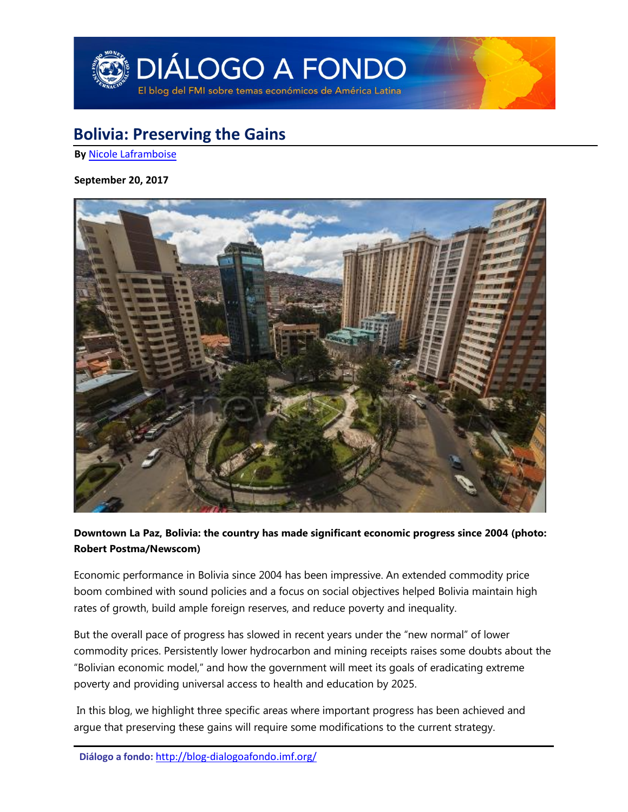

# **Bolivia: Preserving the Gains**

**By** [Nicole Laframboise](#page-5-0)

#### **September 20, 2017**



**Downtown La Paz, Bolivia: the country has made significant economic progress since 2004 (photo: Robert Postma/Newscom)**

Economic performance in Bolivia since 2004 has been impressive. An extended commodity price boom combined with sound policies and a focus on social objectives helped Bolivia maintain high rates of growth, build ample foreign reserves, and reduce poverty and inequality.

But the overall pace of progress has slowed in recent years under the "new normal" of lower commodity prices. Persistently lower hydrocarbon and mining receipts raises some doubts about the "Bolivian economic model," and how the government will meet its goals of eradicating extreme poverty and providing universal access to health and education by 2025.

In this blog, we highlight three specific areas where important progress has been achieved and argue that preserving these gains will require some modifications to the current strategy.

**Diálogo a fondo:** <http://blog-dialogoafondo.imf.org/>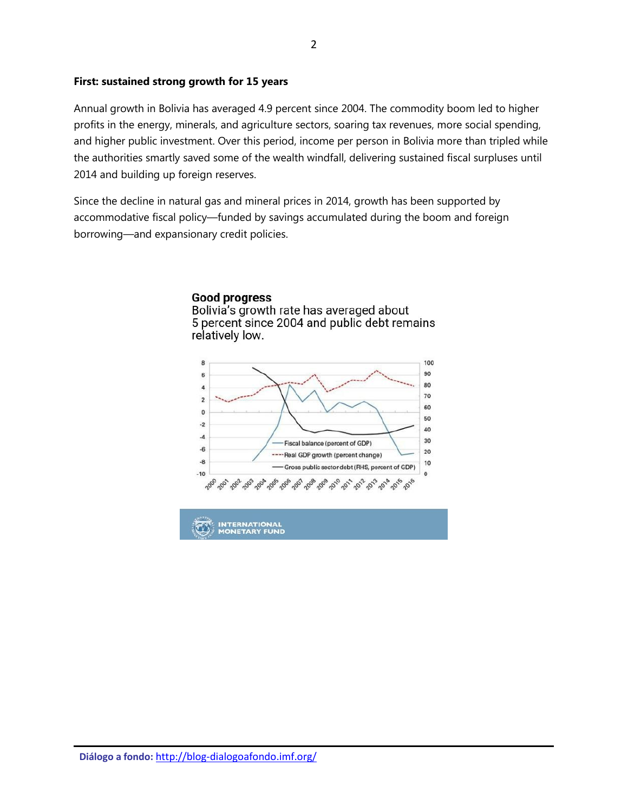#### **First: sustained strong growth for 15 years**

Annual growth in Bolivia has averaged 4.9 percent since 2004. The commodity boom led to higher profits in the energy, minerals, and agriculture sectors, soaring tax revenues, more social spending, and higher public investment. Over this period, income per person in Bolivia more than tripled while the authorities smartly saved some of the wealth windfall, delivering sustained fiscal surpluses until 2014 and building up foreign reserves.

Since the decline in natural gas and mineral prices in 2014, growth has been supported by accommodative fiscal policy―funded by savings accumulated during the boom and foreign borrowing―and expansionary credit policies.





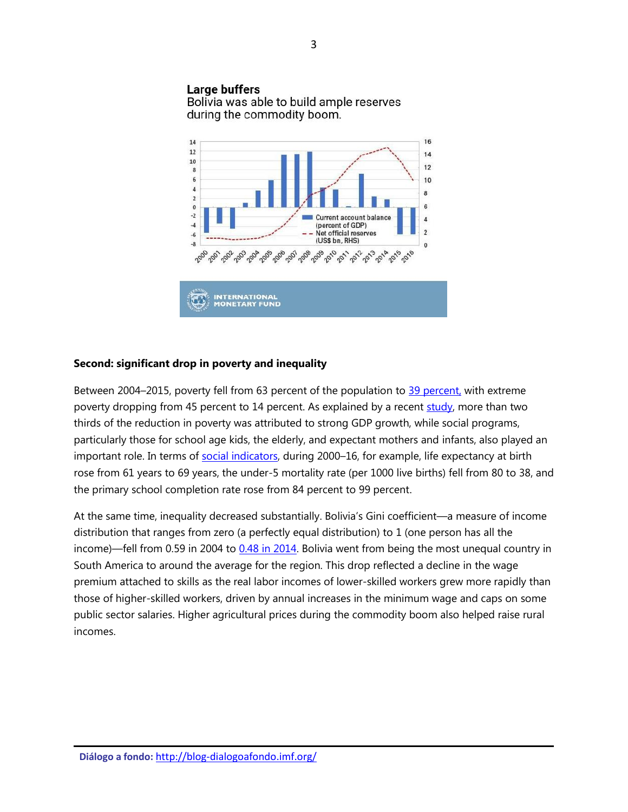#### Large buffers

Bolivia was able to build ample reserves during the commodity boom.



#### **Second: significant drop in poverty and inequality**

Between 2004–2015, poverty fell from 63 percent of the population to 39 [percent,](http://data.worldbank.org/country/bolivia) with extreme poverty dropping from 45 percent to 14 percent. As explained by a recent [study,](https://blog-dialogoafondo.imf.org/?p=6230) more than two thirds of the reduction in poverty was attributed to strong GDP growth, while social programs, particularly those for school age kids, the elderly, and expectant mothers and infants, also played an important role. In terms of [social indicators,](http://databank.worldbank.org/data/Views/Reports/ReportWidgetCustom.aspx?Report_Name=CountryProfile&Id=b450fd57&tbar=y&dd=y&inf=n&zm=n&country=BOL) during 2000-16, for example, life expectancy at birth rose from 61 years to 69 years, the under-5 mortality rate (per 1000 live births) fell from 80 to 38, and the primary school completion rate rose from 84 percent to 99 percent.

At the same time, inequality decreased substantially. Bolivia's Gini coefficient―a measure of income distribution that ranges from zero (a perfectly equal distribution) to 1 (one person has all the income)―fell from 0.59 in 2004 to [0.48 in 2014.](http://data.worldbank.org/indicator/SI.POV.GINI?locations=BO) Bolivia went from being the most unequal country in South America to around the average for the region. This drop reflected a decline in the wage premium attached to skills as the real labor incomes of lower-skilled workers grew more rapidly than those of higher-skilled workers, driven by annual increases in the minimum wage and caps on some public sector salaries. Higher agricultural prices during the commodity boom also helped raise rural incomes.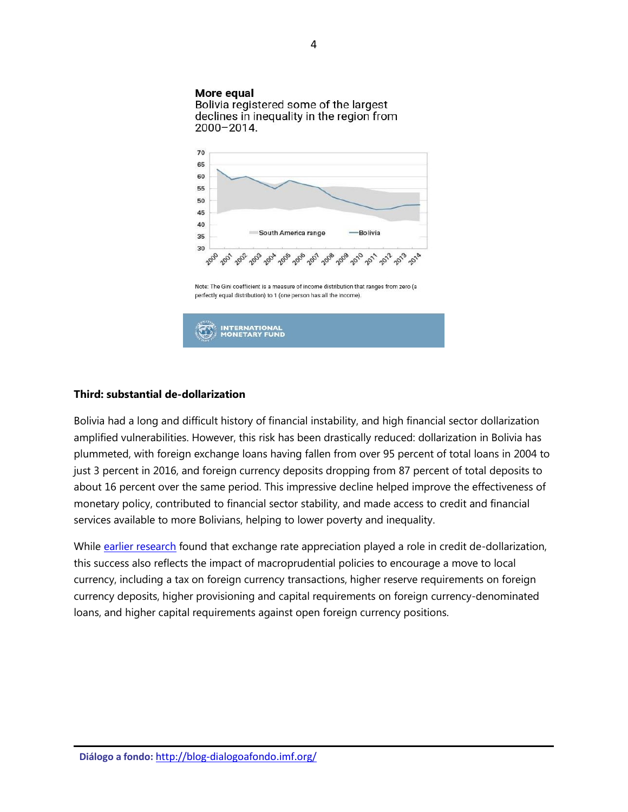#### More equal

Bolivia registered some of the largest declines in inequality in the region from 2000-2014.



Note: The Gini coefficient is a measure of income distribution that ranges from zero (a perfectly equal distribution) to 1 (one person has all the income).



#### **Third: substantial de-dollarization**

Bolivia had a long and difficult history of financial instability, and high financial sector dollarization amplified vulnerabilities. However, this risk has been drastically reduced: dollarization in Bolivia has plummeted, with foreign exchange loans having fallen from over 95 percent of total loans in 2004 to just 3 percent in 2016, and foreign currency deposits dropping from 87 percent of total deposits to about 16 percent over the same period. This impressive decline helped improve the effectiveness of monetary policy, contributed to financial sector stability, and made access to credit and financial services available to more Bolivians, helping to lower poverty and inequality.

While [earlier research](http://www.imf.org/en/Publications/WP/Issues/2016/12/31/What-is-Driving-Financial-De-Dollarization-in-Latin-America-24563) found that exchange rate appreciation played a role in credit de-dollarization, this success also reflects the impact of macroprudential policies to encourage a move to local currency, including a tax on foreign currency transactions, higher reserve requirements on foreign currency deposits, higher provisioning and capital requirements on foreign currency-denominated loans, and higher capital requirements against open foreign currency positions.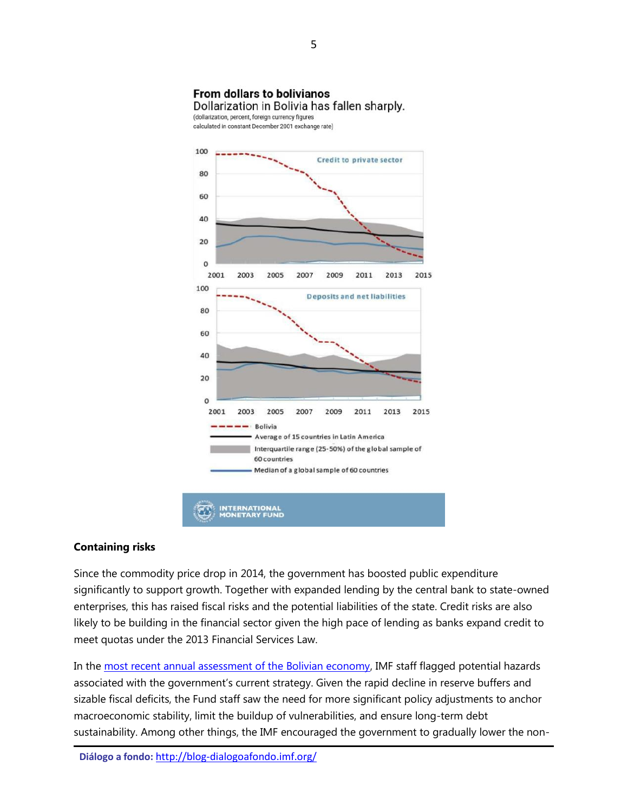## **From dollars to bolivianos**

Dollarization in Bolivia has fallen sharply.

(dollarization, percent, foreign currency figures calculated in constant December 2001 exchange rate)



### **Containing risks**

Since the commodity price drop in 2014, the government has boosted public expenditure significantly to support growth. Together with expanded lending by the central bank to state-owned enterprises, this has raised fiscal risks and the potential liabilities of the state. Credit risks are also likely to be building in the financial sector given the high pace of lending as banks expand credit to meet quotas under the 2013 Financial Services Law.

In the [most recent annual assessment of the Bolivian economy,](http://www.imf.org/en/Publications/CR/Issues/2016/12/31/Bolivia-2016-Article-IV-Consultation-Press-Release-Staff-Report-and-Statement-by-the-44479) IMF staff flagged potential hazards associated with the government's current strategy. Given the rapid decline in reserve buffers and sizable fiscal deficits, the Fund staff saw the need for more significant policy adjustments to anchor macroeconomic stability, limit the buildup of vulnerabilities, and ensure long-term debt sustainability. Among other things, the IMF encouraged the government to gradually lower the non-

**Diálogo a fondo:** <http://blog-dialogoafondo.imf.org/>